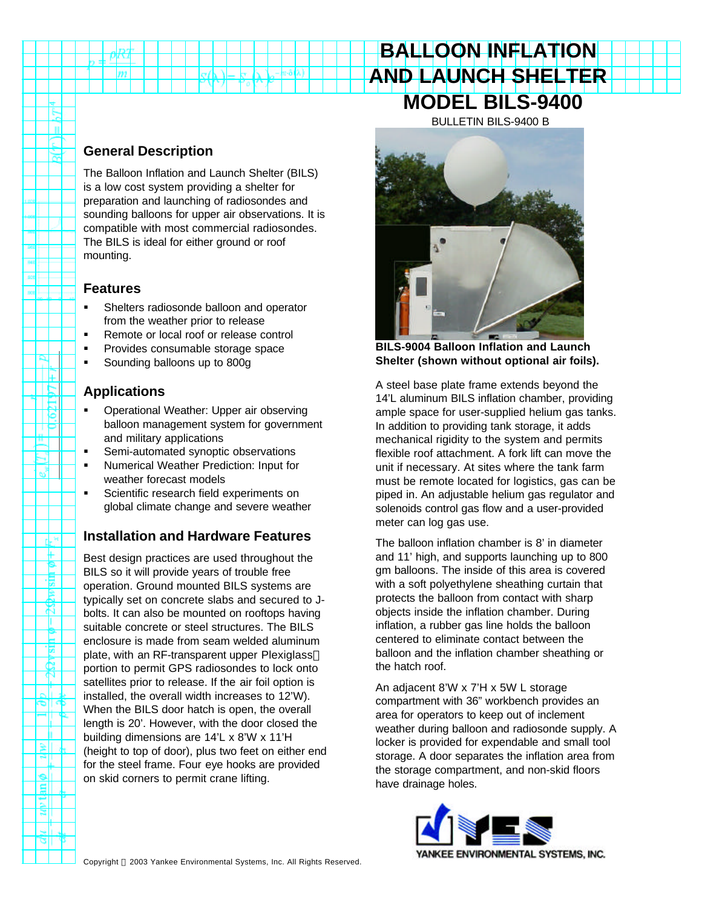# **BALLOON INFLATION AND LAUNCH SHELTER MODEL BILS-9400** BULLETIN BILS-9400 B

## **General Description**

m

n τ

Þ - 14

e,

d-H Ŧ. P 博 È. ಸ т E TØ. ē. ñ

م∥ت

≋II ला

 $\overline{\mathbf{g}}$ 돼

The Balloon Inflation and Launch Shelter (BILS) is a low cost system providing a shelter for preparation and launching of radiosondes and sounding balloons for upper air observations. It is compatible with most commercial radiosondes. The BILS is ideal for either ground or roof mounting.

### **Features**

- ß Shelters radiosonde balloon and operator from the weather prior to release
- ß Remote or local roof or release control
- **•** Provides consumable storage space
- **Sounding balloons up to 800g**

# **Applications**

- **•** Operational Weather: Upper air observing balloon management system for government and military applications
- ß Semi-automated synoptic observations
- **KEY Numerical Weather Prediction: Input for** weather forecast models
- ß Scientific research field experiments on global climate change and severe weather

# **Installation and Hardware Features**

Best design practices are used throughout the BILS so it will provide years of trouble free operation. Ground mounted BILS systems are typically set on concrete slabs and secured to Jbolts. It can also be mounted on rooftops having suitable concrete or steel structures. The BILS enclosure is made from seam welded aluminum plate, with an RF-transparent upper Plexiglass™ portion to permit GPS radiosondes to lock onto satellites prior to release. If the air foil option is installed, the overall width increases to 12'W). When the BILS door hatch is open, the overall length is 20'. However, with the door closed the building dimensions are 14'L x 8'W x 11'H (height to top of door), plus two feet on either end for the steel frame. Four eye hooks are provided on skid corners to permit crane lifting.



**BILS-9004 Balloon Inflation and Launch Shelter (shown without optional air foils).**

A steel base plate frame extends beyond the 14'L aluminum BILS inflation chamber, providing ample space for user-supplied helium gas tanks. In addition to providing tank storage, it adds mechanical rigidity to the system and permits flexible roof attachment. A fork lift can move the unit if necessary. At sites where the tank farm must be remote located for logistics, gas can be piped in. An adjustable helium gas regulator and solenoids control gas flow and a user-provided meter can log gas use.

The balloon inflation chamber is 8' in diameter and 11' high, and supports launching up to 800 gm balloons. The inside of this area is covered with a soft polyethylene sheathing curtain that protects the balloon from contact with sharp objects inside the inflation chamber. During inflation, a rubber gas line holds the balloon centered to eliminate contact between the balloon and the inflation chamber sheathing or the hatch roof.

An adjacent 8'W x 7'H x 5W L storage compartment with 36" workbench provides an area for operators to keep out of inclement weather during balloon and radiosonde supply. A locker is provided for expendable and small tool storage. A door separates the inflation area from the storage compartment, and non-skid floors have drainage holes.

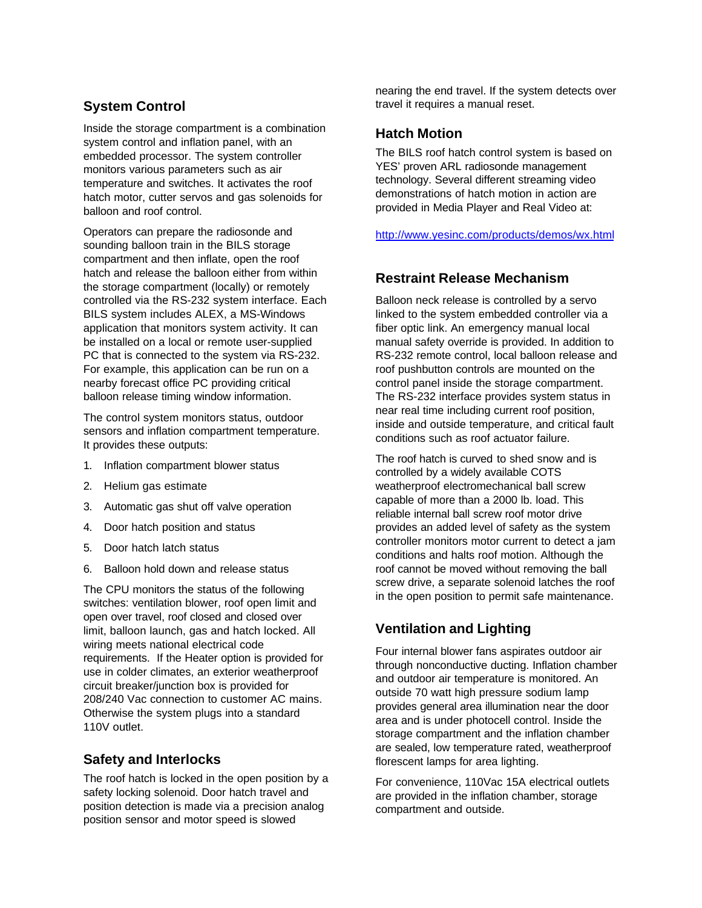# **System Control**

Inside the storage compartment is a combination system control and inflation panel, with an embedded processor. The system controller monitors various parameters such as air temperature and switches. It activates the roof hatch motor, cutter servos and gas solenoids for balloon and roof control.

Operators can prepare the radiosonde and sounding balloon train in the BILS storage compartment and then inflate, open the roof hatch and release the balloon either from within the storage compartment (locally) or remotely controlled via the RS-232 system interface. Each BILS system includes ALEX, a MS-Windows application that monitors system activity. It can be installed on a local or remote user-supplied PC that is connected to the system via RS-232. For example, this application can be run on a nearby forecast office PC providing critical balloon release timing window information.

The control system monitors status, outdoor sensors and inflation compartment temperature. It provides these outputs:

- 1. Inflation compartment blower status
- 2. Helium gas estimate
- 3. Automatic gas shut off valve operation
- 4. Door hatch position and status
- 5. Door hatch latch status
- 6. Balloon hold down and release status

The CPU monitors the status of the following switches: ventilation blower, roof open limit and open over travel, roof closed and closed over limit, balloon launch, gas and hatch locked. All wiring meets national electrical code requirements. If the Heater option is provided for use in colder climates, an exterior weatherproof circuit breaker/junction box is provided for 208/240 Vac connection to customer AC mains. Otherwise the system plugs into a standard 110V outlet.

### **Safety and Interlocks**

The roof hatch is locked in the open position by a safety locking solenoid. Door hatch travel and position detection is made via a precision analog position sensor and motor speed is slowed

nearing the end travel. If the system detects over travel it requires a manual reset.

#### **Hatch Motion**

The BILS roof hatch control system is based on YES' proven ARL radiosonde management technology. Several different streaming video demonstrations of hatch motion in action are provided in Media Player and Real Video at:

http://www.yesinc.com/products/demos/wx.html

### **Restraint Release Mechanism**

Balloon neck release is controlled by a servo linked to the system embedded controller via a fiber optic link. An emergency manual local manual safety override is provided. In addition to RS-232 remote control, local balloon release and roof pushbutton controls are mounted on the control panel inside the storage compartment. The RS-232 interface provides system status in near real time including current roof position, inside and outside temperature, and critical fault conditions such as roof actuator failure.

The roof hatch is curved to shed snow and is controlled by a widely available COTS weatherproof electromechanical ball screw capable of more than a 2000 lb. load. This reliable internal ball screw roof motor drive provides an added level of safety as the system controller monitors motor current to detect a jam conditions and halts roof motion. Although the roof cannot be moved without removing the ball screw drive, a separate solenoid latches the roof in the open position to permit safe maintenance.

# **Ventilation and Lighting**

Four internal blower fans aspirates outdoor air through nonconductive ducting. Inflation chamber and outdoor air temperature is monitored. An outside 70 watt high pressure sodium lamp provides general area illumination near the door area and is under photocell control. Inside the storage compartment and the inflation chamber are sealed, low temperature rated, weatherproof florescent lamps for area lighting.

For convenience, 110Vac 15A electrical outlets are provided in the inflation chamber, storage compartment and outside.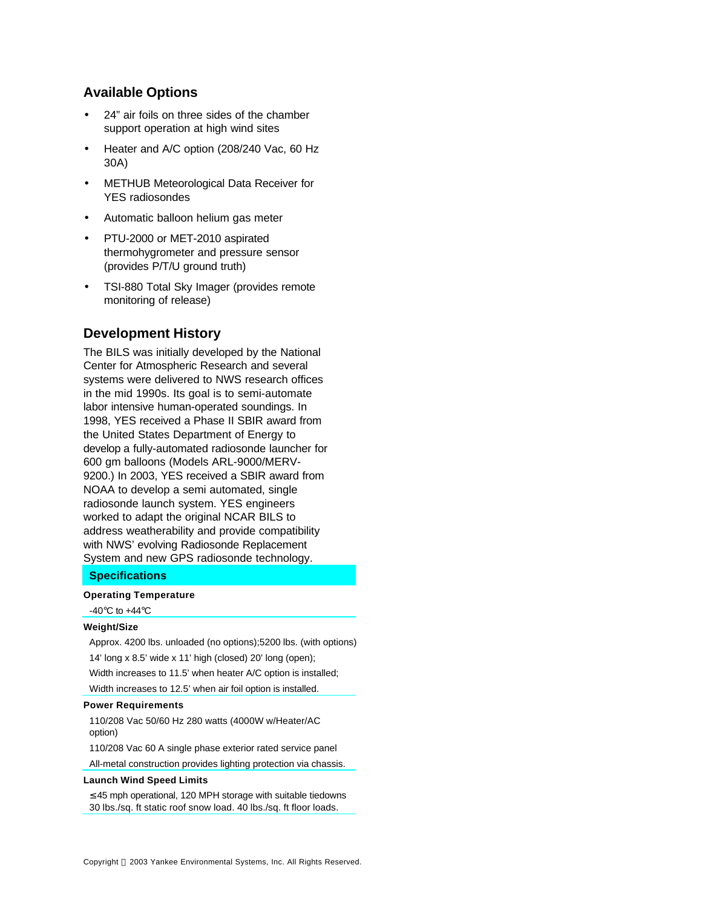### **Available Options**

- 24" air foils on three sides of the chamber support operation at high wind sites
- Heater and A/C option (208/240 Vac, 60 Hz 30A)
- METHUB Meteorological Data Receiver for YES radiosondes
- Automatic balloon helium gas meter
- PTU-2000 or MET-2010 aspirated thermohygrometer and pressure sensor (provides P/T/U ground truth)
- TSI-880 Total Sky Imager (provides remote monitoring of release)

### **Development History**

The BILS was initially developed by the National Center for Atmospheric Research and several systems were delivered to NWS research offices in the mid 1990s. Its goal is to semi-automate labor intensive human-operated soundings. In 1998, YES received a Phase II SBIR award from the United States Department of Energy to develop a fully-automated radiosonde launcher for 600 gm balloons (Models ARL-9000/MERV-9200.) In 2003, YES received a SBIR award from NOAA to develop a semi automated, single radiosonde launch system. YES engineers worked to adapt the original NCAR BILS to address weatherability and provide compatibility with NWS' evolving Radiosonde Replacement System and new GPS radiosonde technology.

#### **Specifications**

#### **Operating Temperature**

-40 $\mathrm{^{\circ}C}$  to +44 $\mathrm{^{\circ}C}$ 

#### **Weight/Size**

Approx. 4200 lbs. unloaded (no options);5200 lbs. (with options) 14' long x 8.5' wide x 11' high (closed) 20' long (open); Width increases to 11.5' when heater A/C option is installed;

#### Width increases to 12.5' when air foil option is installed.

#### **Power Requirements**

110/208 Vac 50/60 Hz 280 watts (4000W w/Heater/AC option)

110/208 Vac 60 A single phase exterior rated service panel

All-metal construction provides lighting protection via chassis.

#### **Launch Wind Speed Limits**

≤ 45 mph operational, 120 MPH storage with suitable tiedowns 30 lbs./sq. ft static roof snow load. 40 lbs./sq. ft floor loads.